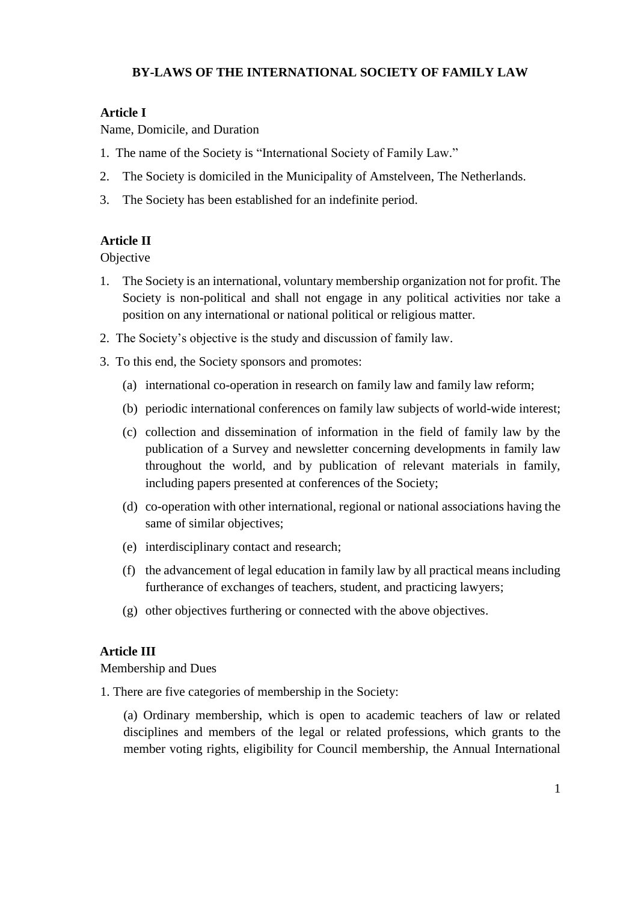## **BY-LAWS OF THE INTERNATIONAL SOCIETY OF FAMILY LAW**

## **Article I**

Name, Domicile, and Duration

- 1. The name of the Society is "International Society of Family Law."
- 2. The Society is domiciled in the Municipality of Amstelveen, The Netherlands.
- 3. The Society has been established for an indefinite period.

## **Article II**

**Objective** 

- 1. The Society is an international, voluntary membership organization not for profit. The Society is non-political and shall not engage in any political activities nor take a position on any international or national political or religious matter.
- 2. The Society's objective is the study and discussion of family law.
- 3. To this end, the Society sponsors and promotes:
	- (a) international co-operation in research on family law and family law reform;
	- (b) periodic international conferences on family law subjects of world-wide interest;
	- (c) collection and dissemination of information in the field of family law by the publication of a Survey and newsletter concerning developments in family law throughout the world, and by publication of relevant materials in family, including papers presented at conferences of the Society;
	- (d) co-operation with other international, regional or national associations having the same of similar objectives;
	- (e) interdisciplinary contact and research;
	- (f) the advancement of legal education in family law by all practical means including furtherance of exchanges of teachers, student, and practicing lawyers;
	- (g) other objectives furthering or connected with the above objectives.

### **Article III**

Membership and Dues

1. There are five categories of membership in the Society:

(a) Ordinary membership, which is open to academic teachers of law or related disciplines and members of the legal or related professions, which grants to the member voting rights, eligibility for Council membership, the Annual International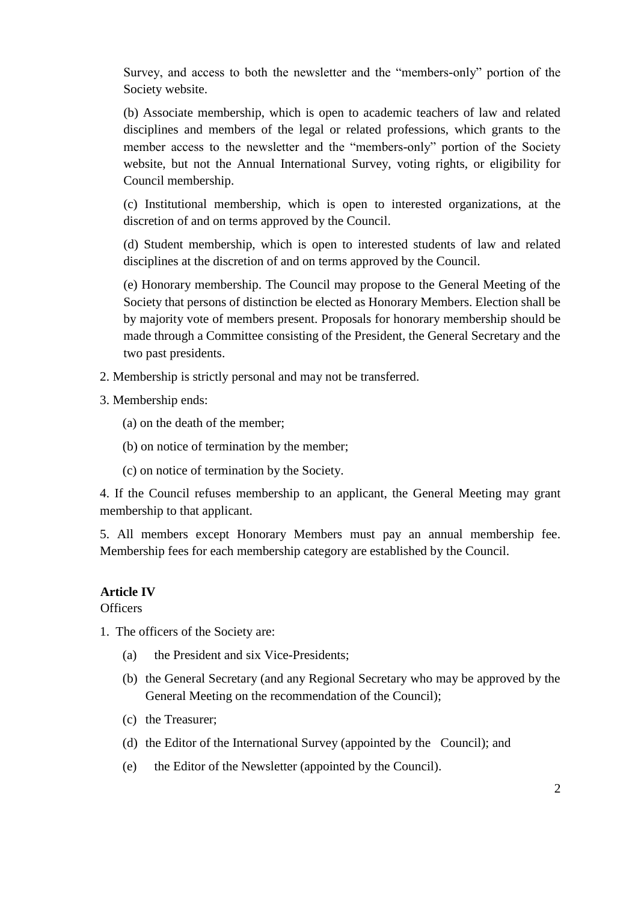Survey, and access to both the newsletter and the "members-only" portion of the Society website.

(b) Associate membership, which is open to academic teachers of law and related disciplines and members of the legal or related professions, which grants to the member access to the newsletter and the "members-only" portion of the Society website, but not the Annual International Survey, voting rights, or eligibility for Council membership.

(c) Institutional membership, which is open to interested organizations, at the discretion of and on terms approved by the Council.

(d) Student membership, which is open to interested students of law and related disciplines at the discretion of and on terms approved by the Council.

(e) Honorary membership. The Council may propose to the General Meeting of the Society that persons of distinction be elected as Honorary Members. Election shall be by majority vote of members present. Proposals for honorary membership should be made through a Committee consisting of the President, the General Secretary and the two past presidents.

2. Membership is strictly personal and may not be transferred.

3. Membership ends:

- (a) on the death of the member;
- (b) on notice of termination by the member;
- (c) on notice of termination by the Society.

4. If the Council refuses membership to an applicant, the General Meeting may grant membership to that applicant.

5. All members except Honorary Members must pay an annual membership fee. Membership fees for each membership category are established by the Council.

### **Article IV**

**Officers** 

- 1. The officers of the Society are:
	- (a) the President and six Vice-Presidents;
	- (b) the General Secretary (and any Regional Secretary who may be approved by the General Meeting on the recommendation of the Council);
	- (c) the Treasurer;
	- (d) the Editor of the International Survey (appointed by the Council); and
	- (e) the Editor of the Newsletter (appointed by the Council).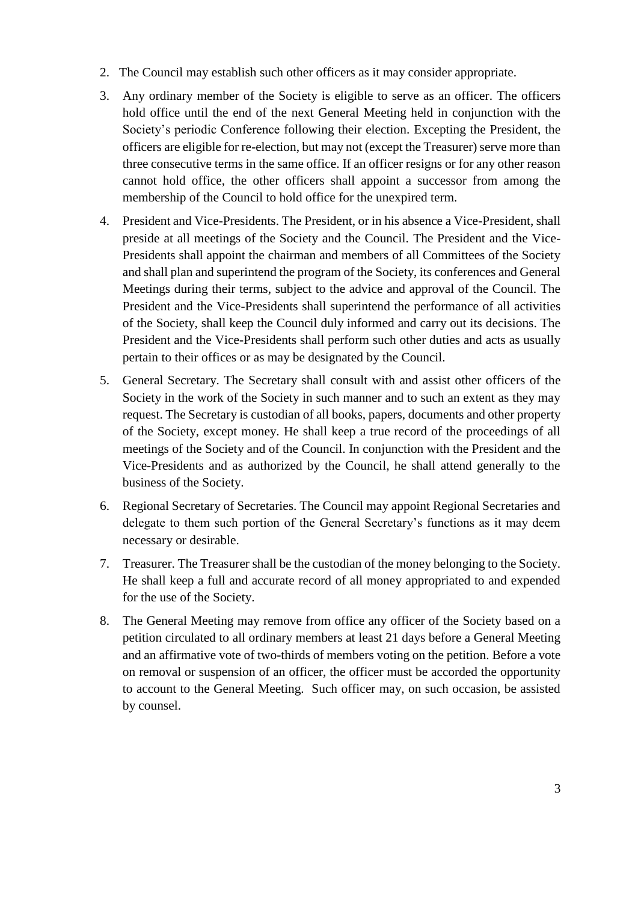- 2. The Council may establish such other officers as it may consider appropriate.
- 3. Any ordinary member of the Society is eligible to serve as an officer. The officers hold office until the end of the next General Meeting held in conjunction with the Society's periodic Conference following their election. Excepting the President, the officers are eligible for re-election, but may not (except the Treasurer) serve more than three consecutive terms in the same office. If an officer resigns or for any other reason cannot hold office, the other officers shall appoint a successor from among the membership of the Council to hold office for the unexpired term.
- 4. President and Vice-Presidents. The President, or in his absence a Vice-President, shall preside at all meetings of the Society and the Council. The President and the Vice-Presidents shall appoint the chairman and members of all Committees of the Society and shall plan and superintend the program of the Society, its conferences and General Meetings during their terms, subject to the advice and approval of the Council. The President and the Vice-Presidents shall superintend the performance of all activities of the Society, shall keep the Council duly informed and carry out its decisions. The President and the Vice-Presidents shall perform such other duties and acts as usually pertain to their offices or as may be designated by the Council.
- 5. General Secretary. The Secretary shall consult with and assist other officers of the Society in the work of the Society in such manner and to such an extent as they may request. The Secretary is custodian of all books, papers, documents and other property of the Society, except money. He shall keep a true record of the proceedings of all meetings of the Society and of the Council. In conjunction with the President and the Vice-Presidents and as authorized by the Council, he shall attend generally to the business of the Society.
- 6. Regional Secretary of Secretaries. The Council may appoint Regional Secretaries and delegate to them such portion of the General Secretary's functions as it may deem necessary or desirable.
- 7. Treasurer. The Treasurer shall be the custodian of the money belonging to the Society. He shall keep a full and accurate record of all money appropriated to and expended for the use of the Society.
- 8. The General Meeting may remove from office any officer of the Society based on a petition circulated to all ordinary members at least 21 days before a General Meeting and an affirmative vote of two-thirds of members voting on the petition. Before a vote on removal or suspension of an officer, the officer must be accorded the opportunity to account to the General Meeting. Such officer may, on such occasion, be assisted by counsel.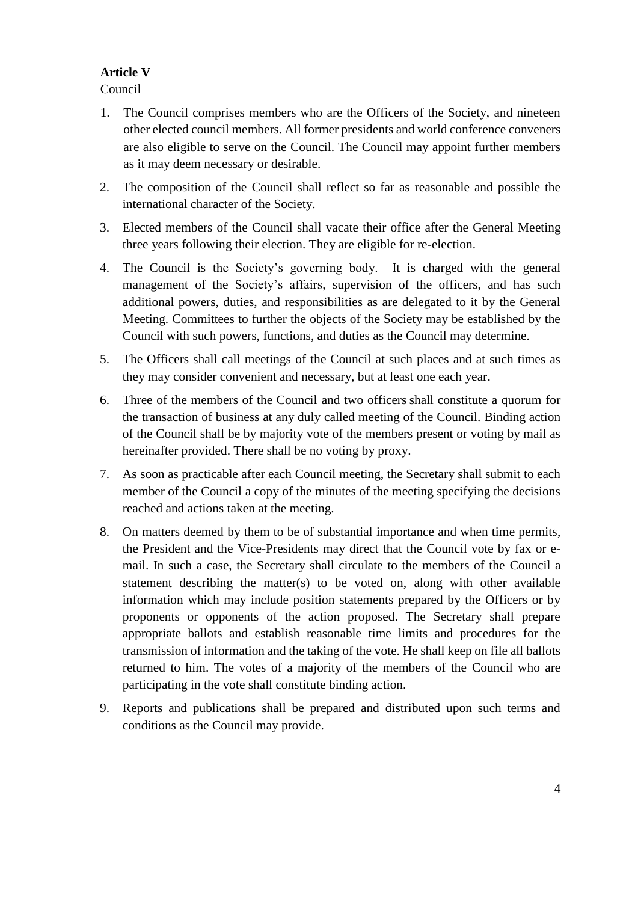# **Article V**

Council

- 1. The Council comprises members who are the Officers of the Society, and nineteen other elected council members. All former presidents and world conference conveners are also eligible to serve on the Council. The Council may appoint further members as it may deem necessary or desirable.
- 2. The composition of the Council shall reflect so far as reasonable and possible the international character of the Society.
- 3. Elected members of the Council shall vacate their office after the General Meeting three years following their election. They are eligible for re-election.
- 4. The Council is the Society's governing body. It is charged with the general management of the Society's affairs, supervision of the officers, and has such additional powers, duties, and responsibilities as are delegated to it by the General Meeting. Committees to further the objects of the Society may be established by the Council with such powers, functions, and duties as the Council may determine.
- 5. The Officers shall call meetings of the Council at such places and at such times as they may consider convenient and necessary, but at least one each year.
- 6. Three of the members of the Council and two officers shall constitute a quorum for the transaction of business at any duly called meeting of the Council. Binding action of the Council shall be by majority vote of the members present or voting by mail as hereinafter provided. There shall be no voting by proxy.
- 7. As soon as practicable after each Council meeting, the Secretary shall submit to each member of the Council a copy of the minutes of the meeting specifying the decisions reached and actions taken at the meeting.
- 8. On matters deemed by them to be of substantial importance and when time permits, the President and the Vice-Presidents may direct that the Council vote by fax or email. In such a case, the Secretary shall circulate to the members of the Council a statement describing the matter(s) to be voted on, along with other available information which may include position statements prepared by the Officers or by proponents or opponents of the action proposed. The Secretary shall prepare appropriate ballots and establish reasonable time limits and procedures for the transmission of information and the taking of the vote. He shall keep on file all ballots returned to him. The votes of a majority of the members of the Council who are participating in the vote shall constitute binding action.
- 9. Reports and publications shall be prepared and distributed upon such terms and conditions as the Council may provide.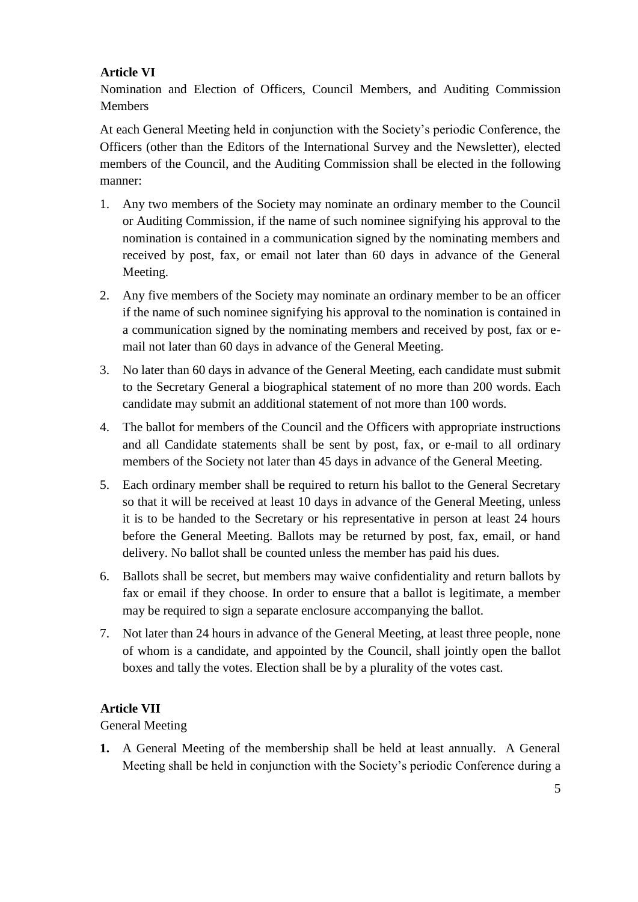## **Article VI**

Nomination and Election of Officers, Council Members, and Auditing Commission Members

At each General Meeting held in conjunction with the Society's periodic Conference, the Officers (other than the Editors of the International Survey and the Newsletter), elected members of the Council, and the Auditing Commission shall be elected in the following manner:

- 1. Any two members of the Society may nominate an ordinary member to the Council or Auditing Commission, if the name of such nominee signifying his approval to the nomination is contained in a communication signed by the nominating members and received by post, fax, or email not later than 60 days in advance of the General Meeting.
- 2. Any five members of the Society may nominate an ordinary member to be an officer if the name of such nominee signifying his approval to the nomination is contained in a communication signed by the nominating members and received by post, fax or email not later than 60 days in advance of the General Meeting.
- 3. No later than 60 days in advance of the General Meeting, each candidate must submit to the Secretary General a biographical statement of no more than 200 words. Each candidate may submit an additional statement of not more than 100 words.
- 4. The ballot for members of the Council and the Officers with appropriate instructions and all Candidate statements shall be sent by post, fax, or e-mail to all ordinary members of the Society not later than 45 days in advance of the General Meeting.
- 5. Each ordinary member shall be required to return his ballot to the General Secretary so that it will be received at least 10 days in advance of the General Meeting, unless it is to be handed to the Secretary or his representative in person at least 24 hours before the General Meeting. Ballots may be returned by post, fax, email, or hand delivery. No ballot shall be counted unless the member has paid his dues.
- 6. Ballots shall be secret, but members may waive confidentiality and return ballots by fax or email if they choose. In order to ensure that a ballot is legitimate, a member may be required to sign a separate enclosure accompanying the ballot.
- 7. Not later than 24 hours in advance of the General Meeting, at least three people, none of whom is a candidate, and appointed by the Council, shall jointly open the ballot boxes and tally the votes. Election shall be by a plurality of the votes cast.

## **Article VII**

General Meeting

**1.** A General Meeting of the membership shall be held at least annually. A General Meeting shall be held in conjunction with the Society's periodic Conference during a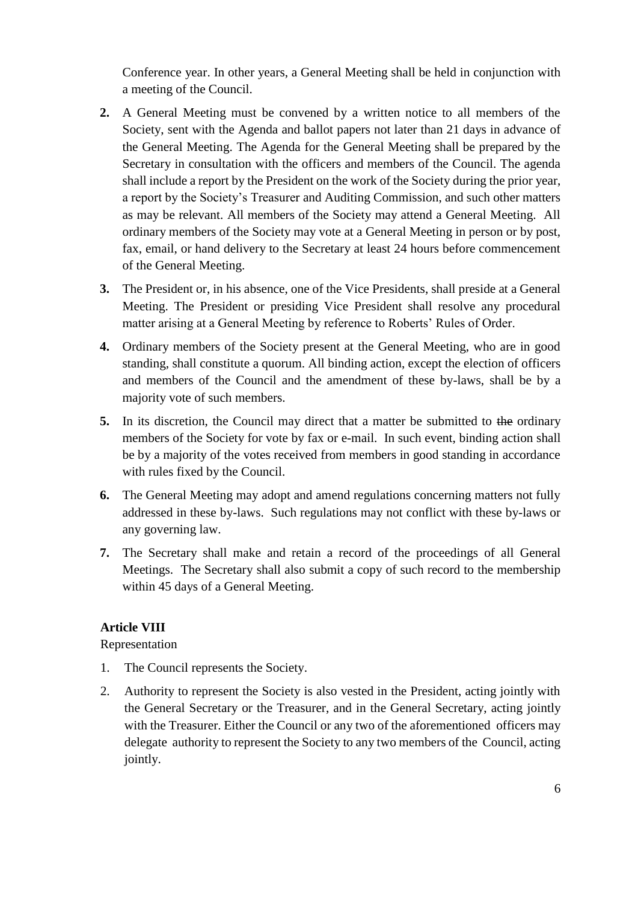Conference year. In other years, a General Meeting shall be held in conjunction with a meeting of the Council.

- **2.** A General Meeting must be convened by a written notice to all members of the Society, sent with the Agenda and ballot papers not later than 21 days in advance of the General Meeting. The Agenda for the General Meeting shall be prepared by the Secretary in consultation with the officers and members of the Council. The agenda shall include a report by the President on the work of the Society during the prior year, a report by the Society's Treasurer and Auditing Commission, and such other matters as may be relevant. All members of the Society may attend a General Meeting. All ordinary members of the Society may vote at a General Meeting in person or by post, fax, email, or hand delivery to the Secretary at least 24 hours before commencement of the General Meeting.
- **3.** The President or, in his absence, one of the Vice Presidents, shall preside at a General Meeting. The President or presiding Vice President shall resolve any procedural matter arising at a General Meeting by reference to Roberts' Rules of Order.
- **4.** Ordinary members of the Society present at the General Meeting, who are in good standing, shall constitute a quorum. All binding action, except the election of officers and members of the Council and the amendment of these by-laws, shall be by a majority vote of such members.
- **5.** In its discretion, the Council may direct that a matter be submitted to the ordinary members of the Society for vote by fax or e-mail. In such event, binding action shall be by a majority of the votes received from members in good standing in accordance with rules fixed by the Council.
- **6.** The General Meeting may adopt and amend regulations concerning matters not fully addressed in these by-laws. Such regulations may not conflict with these by-laws or any governing law.
- **7.** The Secretary shall make and retain a record of the proceedings of all General Meetings. The Secretary shall also submit a copy of such record to the membership within 45 days of a General Meeting.

### **Article VIII**

Representation

- 1. The Council represents the Society.
- 2. Authority to represent the Society is also vested in the President, acting jointly with the General Secretary or the Treasurer, and in the General Secretary, acting jointly with the Treasurer. Either the Council or any two of the aforementioned officers may delegate authority to represent the Society to any two members of the Council, acting jointly.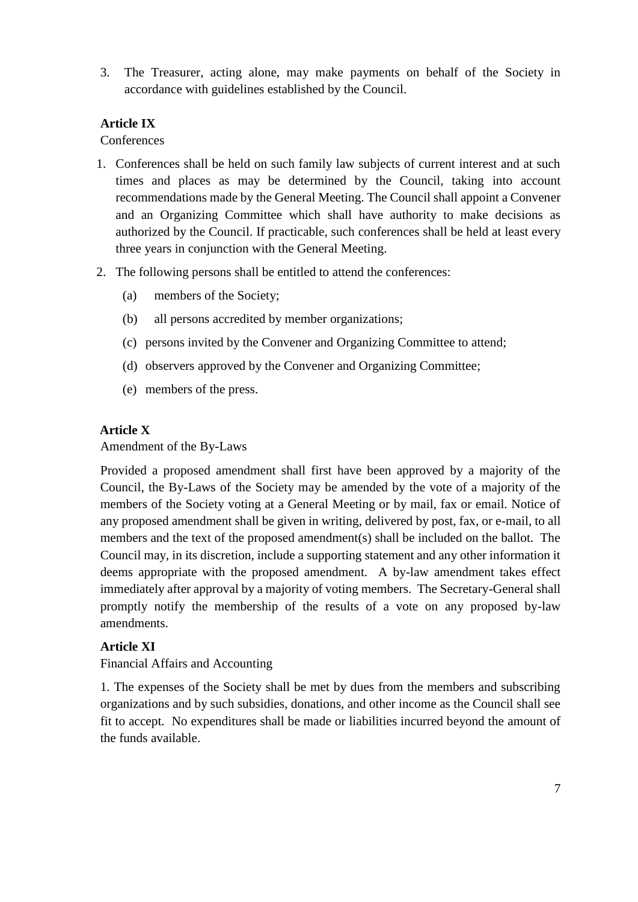3. The Treasurer, acting alone, may make payments on behalf of the Society in accordance with guidelines established by the Council.

## **Article IX**

#### **Conferences**

- 1. Conferences shall be held on such family law subjects of current interest and at such times and places as may be determined by the Council, taking into account recommendations made by the General Meeting. The Council shall appoint a Convener and an Organizing Committee which shall have authority to make decisions as authorized by the Council. If practicable, such conferences shall be held at least every three years in conjunction with the General Meeting.
- 2. The following persons shall be entitled to attend the conferences:
	- (a) members of the Society;
	- (b) all persons accredited by member organizations;
	- (c) persons invited by the Convener and Organizing Committee to attend;
	- (d) observers approved by the Convener and Organizing Committee;
	- (e) members of the press.

### **Article X**

#### Amendment of the By-Laws

Provided a proposed amendment shall first have been approved by a majority of the Council, the By-Laws of the Society may be amended by the vote of a majority of the members of the Society voting at a General Meeting or by mail, fax or email. Notice of any proposed amendment shall be given in writing, delivered by post, fax, or e-mail, to all members and the text of the proposed amendment(s) shall be included on the ballot. The Council may, in its discretion, include a supporting statement and any other information it deems appropriate with the proposed amendment. A by-law amendment takes effect immediately after approval by a majority of voting members. The Secretary-General shall promptly notify the membership of the results of a vote on any proposed by-law amendments.

### **Article XI**

### Financial Affairs and Accounting

1. The expenses of the Society shall be met by dues from the members and subscribing organizations and by such subsidies, donations, and other income as the Council shall see fit to accept. No expenditures shall be made or liabilities incurred beyond the amount of the funds available.